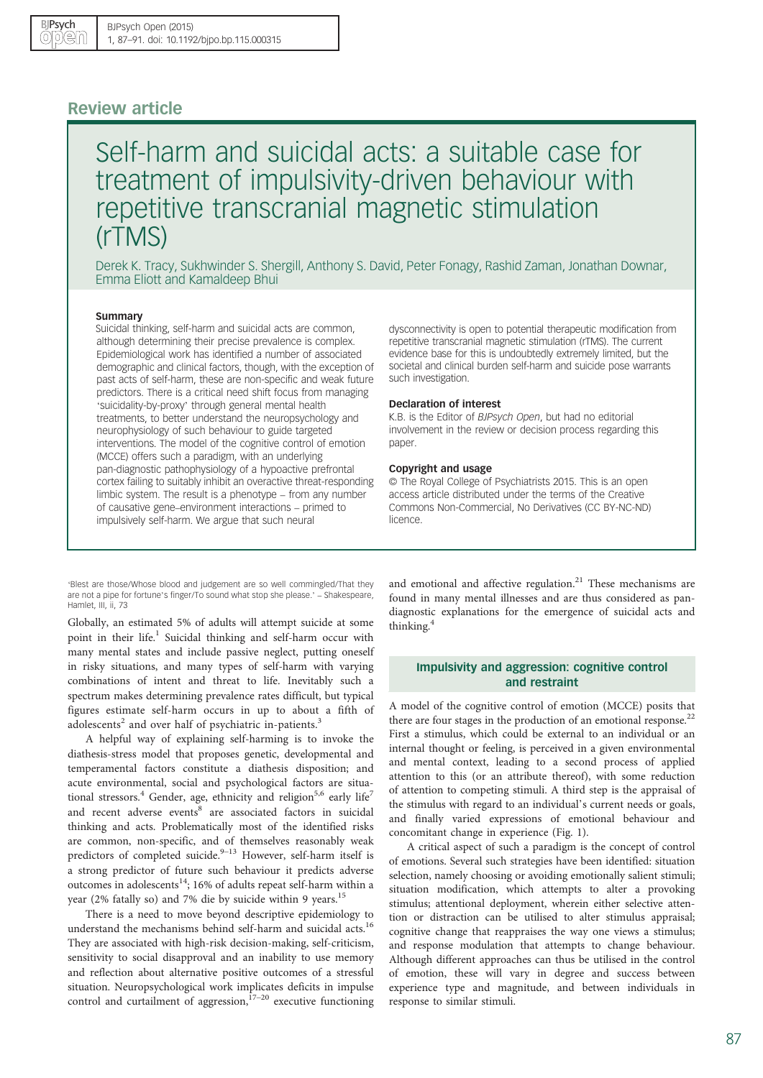# Review article

# Self-harm and suicidal acts: a suitable case for treatment of impulsivity-driven behaviour with repetitive transcranial magnetic stimulation (rTMS)

Derek K. Tracy, Sukhwinder S. Shergill, Anthony S. David, Peter Fonagy, Rashid Zaman, Jonathan Downar, Emma Eliott and Kamaldeep Bhui

#### **Summary**

Suicidal thinking, self-harm and suicidal acts are common, although determining their precise prevalence is complex. Epidemiological work has identified a number of associated demographic and clinical factors, though, with the exception of past acts of self-harm, these are non-specific and weak future predictors. There is a critical need shift focus from managing 'suicidality-by-proxy' through general mental health treatments, to better understand the neuropsychology and neurophysiology of such behaviour to guide targeted interventions. The model of the cognitive control of emotion (MCCE) offers such a paradigm, with an underlying pan-diagnostic pathophysiology of a hypoactive prefrontal cortex failing to suitably inhibit an overactive threat-responding limbic system. The result is a phenotype – from any number of causative gene–environment interactions – primed to impulsively self-harm. We argue that such neural

dysconnectivity is open to potential therapeutic modification from repetitive transcranial magnetic stimulation (rTMS). The current evidence base for this is undoubtedly extremely limited, but the societal and clinical burden self-harm and suicide pose warrants such investigation.

#### Declaration of interest

K.B. is the Editor of BJPsych Open, but had no editorial involvement in the review or decision process regarding this paper.

#### Copyright and usage

© The Royal College of Psychiatrists 2015. This is an open access article distributed under the terms of the Creative Commons Non-Commercial, No Derivatives (CC BY-NC-ND) licence.

'Blest are those/Whose blood and judgement are so well commingled/That they are not a pipe for fortune's finger/To sound what stop she please.' – Shakespeare, Hamlet, III, ii, 73

Globally, an estimated 5% of adults will attempt suicide at some point in their life.[1](#page-3-0) Suicidal thinking and self-harm occur with many mental states and include passive neglect, putting oneself in risky situations, and many types of self-harm with varying combinations of intent and threat to life. Inevitably such a spectrum makes determining prevalence rates difficult, but typical figures estimate self-harm occurs in up to about a fifth of adolescents<sup>[2](#page-3-0)</sup> and over half of psychiatric in-patients.<sup>[3](#page-3-0)</sup>

A helpful way of explaining self-harming is to invoke the diathesis-stress model that proposes genetic, developmental and temperamental factors constitute a diathesis disposition; and acute environmental, social and psychological factors are situa-tional stressors.<sup>[4](#page-3-0)</sup> Gender, age, ethnicity and religion<sup>5,[6](#page-3-0)</sup> early life<sup>[7](#page-3-0)</sup> and recent adverse events<sup>[8](#page-3-0)</sup> are associated factors in suicidal thinking and acts. Problematically most of the identified risks are common, non-specific, and of themselves reasonably weak predictors of completed suicide.<sup>[9](#page-3-0)–[13](#page-3-0)</sup> However, self-harm itself is a strong predictor of future such behaviour it predicts adverse outcomes in adolescents<sup>[14](#page-3-0)</sup>; 16% of adults repeat self-harm within a year (2% fatally so) and 7% die by suicide within 9 years.<sup>[15](#page-3-0)</sup>

There is a need to move beyond descriptive epidemiology to understand the mechanisms behind self-harm and suicidal acts.<sup>[16](#page-3-0)</sup> They are associated with high-risk decision-making, self-criticism, sensitivity to social disapproval and an inability to use memory and reflection about alternative positive outcomes of a stressful situation. Neuropsychological work implicates deficits in impulse control and curtailment of aggression, $17-20$  $17-20$  $17-20$  executive functioning and emotional and affective regulation.<sup>[21](#page-4-0)</sup> These mechanisms are found in many mental illnesses and are thus considered as pandiagnostic explanations for the emergence of suicidal acts and thinking.[4](#page-3-0)

# Impulsivity and aggression: cognitive control and restraint

A model of the cognitive control of emotion (MCCE) posits that there are four stages in the production of an emotional response.<sup>[22](#page-4-0)</sup> First a stimulus, which could be external to an individual or an internal thought or feeling, is perceived in a given environmental and mental context, leading to a second process of applied attention to this (or an attribute thereof), with some reduction of attention to competing stimuli. A third step is the appraisal of the stimulus with regard to an individual's current needs or goals, and finally varied expressions of emotional behaviour and concomitant change in experience [\(Fig. 1](#page-1-0)).

A critical aspect of such a paradigm is the concept of control of emotions. Several such strategies have been identified: situation selection, namely choosing or avoiding emotionally salient stimuli; situation modification, which attempts to alter a provoking stimulus; attentional deployment, wherein either selective attention or distraction can be utilised to alter stimulus appraisal; cognitive change that reappraises the way one views a stimulus; and response modulation that attempts to change behaviour. Although different approaches can thus be utilised in the control of emotion, these will vary in degree and success between experience type and magnitude, and between individuals in response to similar stimuli.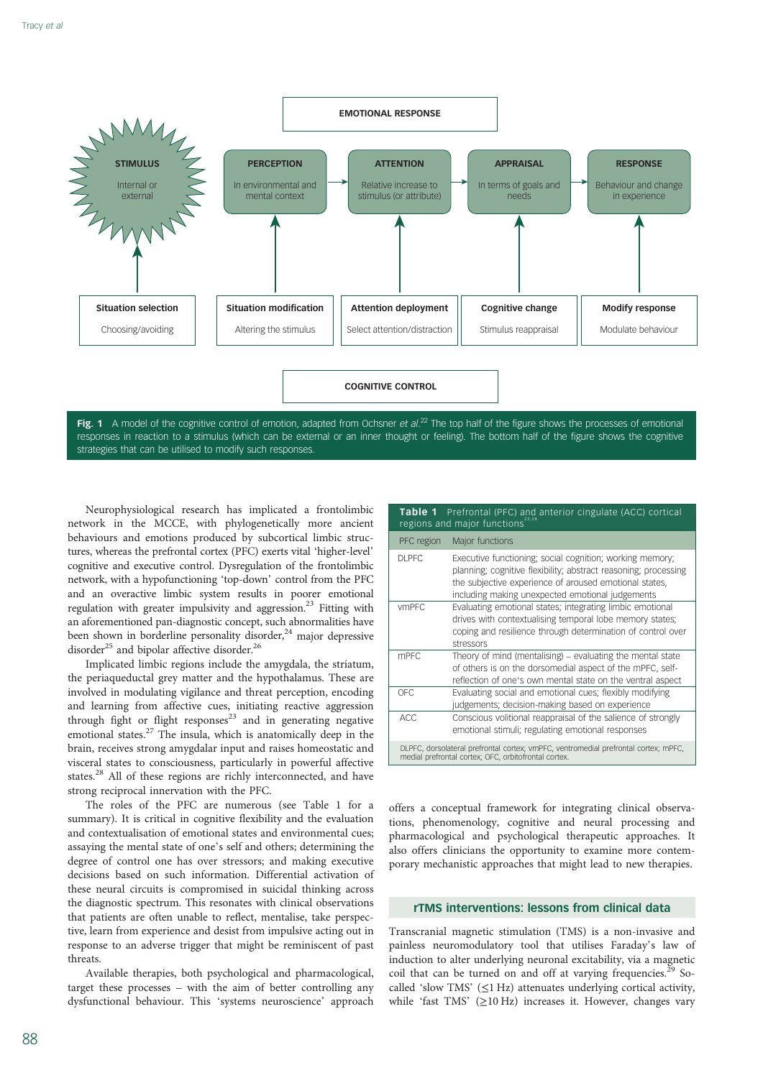<span id="page-1-0"></span>

Fig. 1 A model of the cognitive control of emotion, adapted from Ochsner et al.<sup>[22](#page-4-0)</sup> The top half of the figure shows the processes of emotional responses in reaction to a stimulus (which can be external or an inner thought or feeling). The bottom half of the figure shows the cognitive strategies that can be utilised to modify such responses.

Neurophysiological research has implicated a frontolimbic network in the MCCE, with phylogenetically more ancient behaviours and emotions produced by subcortical limbic structures, whereas the prefrontal cortex (PFC) exerts vital 'higher-level' cognitive and executive control. Dysregulation of the frontolimbic network, with a hypofunctioning 'top-down' control from the PFC and an overactive limbic system results in poorer emotional regulation with greater impulsivity and aggression.<sup>[23](#page-4-0)</sup> Fitting with an aforementioned pan-diagnostic concept, such abnormalities have been shown in borderline personality disorder, $24$  major depressive disorder<sup>[25](#page-4-0)</sup> and bipolar affective disorder.<sup>[26](#page-4-0)</sup>

Implicated limbic regions include the amygdala, the striatum, the periaqueductal grey matter and the hypothalamus. These are involved in modulating vigilance and threat perception, encoding and learning from affective cues, initiating reactive aggression through fight or flight responses<sup>[23](#page-4-0)</sup> and in generating negative emotional states.<sup>[27](#page-4-0)</sup> The insula, which is anatomically deep in the brain, receives strong amygdalar input and raises homeostatic and visceral states to consciousness, particularly in powerful affective states.[28](#page-4-0) All of these regions are richly interconnected, and have strong reciprocal innervation with the PFC.

The roles of the PFC are numerous (see Table 1 for a summary). It is critical in cognitive flexibility and the evaluation and contextualisation of emotional states and environmental cues; assaying the mental state of one's self and others; determining the degree of control one has over stressors; and making executive decisions based on such information. Differential activation of these neural circuits is compromised in suicidal thinking across the diagnostic spectrum. This resonates with clinical observations that patients are often unable to reflect, mentalise, take perspective, learn from experience and desist from impulsive acting out in response to an adverse trigger that might be reminiscent of past threats.

Available therapies, both psychological and pharmacological, target these processes – with the aim of better controlling any dysfunctional behaviour. This 'systems neuroscience' approach

| regions and major functions <sup>23,28</sup>                                                                                                |                                                                                                                                                                                                                                           |
|---------------------------------------------------------------------------------------------------------------------------------------------|-------------------------------------------------------------------------------------------------------------------------------------------------------------------------------------------------------------------------------------------|
| PFC region                                                                                                                                  | Major functions                                                                                                                                                                                                                           |
| DI PFC                                                                                                                                      | Executive functioning; social cognition; working memory;<br>planning; cognitive flexibility; abstract reasoning; processing<br>the subjective experience of aroused emotional states,<br>including making unexpected emotional judgements |
| vmPFC                                                                                                                                       | Evaluating emotional states; integrating limbic emotional<br>drives with contextualising temporal lobe memory states;<br>coping and resilience through determination of control over<br>stressors                                         |
| mPFC                                                                                                                                        | Theory of mind (mentalising) – evaluating the mental state<br>of others is on the dorsomedial aspect of the mPFC, self-<br>reflection of one's own mental state on the ventral aspect                                                     |
| OFC                                                                                                                                         | Evaluating social and emotional cues; flexibly modifying<br>judgements; decision-making based on experience                                                                                                                               |
| <b>ACC</b>                                                                                                                                  | Conscious volitional reappraisal of the salience of strongly<br>emotional stimuli; regulating emotional responses                                                                                                                         |
| DLPFC, dorsolateral prefrontal cortex; vmPFC, ventromedial prefrontal cortex; mPFC,<br>medial prefrontal cortex; OFC, orbitofrontal cortex. |                                                                                                                                                                                                                                           |

Table 1 Prefrontal (PFC) and anterior cingulate (ACC) cortical

offers a conceptual framework for integrating clinical observations, phenomenology, cognitive and neural processing and pharmacological and psychological therapeutic approaches. It also offers clinicians the opportunity to examine more contemporary mechanistic approaches that might lead to new therapies.

# rTMS interventions: lessons from clinical data

Transcranial magnetic stimulation (TMS) is a non-invasive and painless neuromodulatory tool that utilises Faraday's law of induction to alter underlying neuronal excitability, via a magnetic coil that can be turned on and off at varying frequencies.<sup>[29](#page-4-0)</sup> Socalled 'slow TMS'  $(\leq)$  Hz) attenuates underlying cortical activity, while 'fast TMS'  $(\geq 10 \text{ Hz})$  increases it. However, changes vary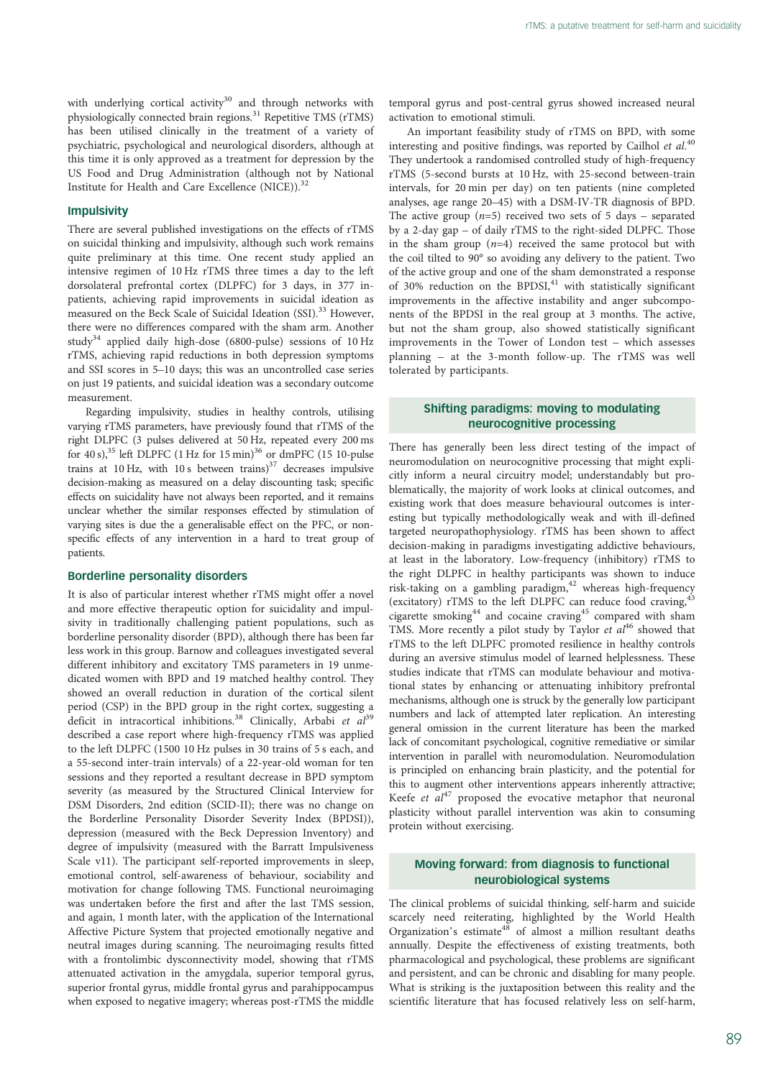with underlying cortical activity $30$  and through networks with physiologically connected brain regions.<sup>[31](#page-4-0)</sup> Repetitive TMS (rTMS) has been utilised clinically in the treatment of a variety of psychiatric, psychological and neurological disorders, although at this time it is only approved as a treatment for depression by the US Food and Drug Administration (although not by National Institute for Health and Care Excellence (NICE)).<sup>[32](#page-4-0)</sup>

#### **Impulsivity**

There are several published investigations on the effects of rTMS on suicidal thinking and impulsivity, although such work remains quite preliminary at this time. One recent study applied an intensive regimen of 10 Hz rTMS three times a day to the left dorsolateral prefrontal cortex (DLPFC) for 3 days, in 377 inpatients, achieving rapid improvements in suicidal ideation as measured on the Beck Scale of Suicidal Ideation (SSI).<sup>[33](#page-4-0)</sup> However, there were no differences compared with the sham arm. Another study<sup>[34](#page-4-0)</sup> applied daily high-dose (6800-pulse) sessions of 10 Hz rTMS, achieving rapid reductions in both depression symptoms and SSI scores in 5–10 days; this was an uncontrolled case series on just 19 patients, and suicidal ideation was a secondary outcome measurement.

Regarding impulsivity, studies in healthy controls, utilising varying rTMS parameters, have previously found that rTMS of the right DLPFC (3 pulses delivered at 50 Hz, repeated every 200 ms for 40 s),<sup>[35](#page-4-0)</sup> left DLPFC (1 Hz for 15 min)<sup>36</sup> or dmPFC (15 10-pulse trains at  $10$  Hz, with  $10$  s between trains)<sup>37</sup> decreases impulsive decision-making as measured on a delay discounting task; specific effects on suicidality have not always been reported, and it remains unclear whether the similar responses effected by stimulation of varying sites is due the a generalisable effect on the PFC, or nonspecific effects of any intervention in a hard to treat group of patients.

#### Borderline personality disorders

It is also of particular interest whether rTMS might offer a novel and more effective therapeutic option for suicidality and impulsivity in traditionally challenging patient populations, such as borderline personality disorder (BPD), although there has been far less work in this group. Barnow and colleagues investigated several different inhibitory and excitatory TMS parameters in 19 unmedicated women with BPD and 19 matched healthy control. They showed an overall reduction in duration of the cortical silent period (CSP) in the BPD group in the right cortex, suggesting a deficit in intracortical inhibitions.<sup>[38](#page-4-0)</sup> Clinically, Arbabi et  $al<sup>35</sup>$ described a case report where high-frequency rTMS was applied to the left DLPFC (1500 10 Hz pulses in 30 trains of 5 s each, and a 55-second inter-train intervals) of a 22-year-old woman for ten sessions and they reported a resultant decrease in BPD symptom severity (as measured by the Structured Clinical Interview for DSM Disorders, 2nd edition (SCID-II); there was no change on the Borderline Personality Disorder Severity Index (BPDSI)), depression (measured with the Beck Depression Inventory) and degree of impulsivity (measured with the Barratt Impulsiveness Scale v11). The participant self-reported improvements in sleep, emotional control, self-awareness of behaviour, sociability and motivation for change following TMS. Functional neuroimaging was undertaken before the first and after the last TMS session, and again, 1 month later, with the application of the International Affective Picture System that projected emotionally negative and neutral images during scanning. The neuroimaging results fitted with a frontolimbic dysconnectivity model, showing that rTMS attenuated activation in the amygdala, superior temporal gyrus, superior frontal gyrus, middle frontal gyrus and parahippocampus when exposed to negative imagery; whereas post-rTMS the middle

temporal gyrus and post-central gyrus showed increased neural activation to emotional stimuli.

An important feasibility study of rTMS on BPD, with some interesting and positive findings, was reported by Cailhol et al.<sup>[40](#page-4-0)</sup> They undertook a randomised controlled study of high-frequency rTMS (5-second bursts at 10 Hz, with 25-second between-train intervals, for 20 min per day) on ten patients (nine completed analyses, age range 20–45) with a DSM-IV-TR diagnosis of BPD. The active group  $(n=5)$  received two sets of 5 days – separated by a 2-day gap – of daily rTMS to the right-sided DLPFC. Those in the sham group  $(n=4)$  received the same protocol but with the coil tilted to 90° so avoiding any delivery to the patient. Two of the active group and one of the sham demonstrated a response of 30% reduction on the BPDSI, $41$  with statistically significant improvements in the affective instability and anger subcomponents of the BPDSI in the real group at 3 months. The active, but not the sham group, also showed statistically significant improvements in the Tower of London test – which assesses planning – at the 3-month follow-up. The rTMS was well tolerated by participants.

### Shifting paradigms: moving to modulating neurocognitive processing

There has generally been less direct testing of the impact of neuromodulation on neurocognitive processing that might explicitly inform a neural circuitry model; understandably but problematically, the majority of work looks at clinical outcomes, and existing work that does measure behavioural outcomes is interesting but typically methodologically weak and with ill-defined targeted neuropathophysiology. rTMS has been shown to affect decision-making in paradigms investigating addictive behaviours, at least in the laboratory. Low-frequency (inhibitory) rTMS to the right DLPFC in healthy participants was shown to induce risk-taking on a gambling paradigm,<sup>[42](#page-4-0)</sup> whereas high-frequency (excitatory) rTMS to the left DLPFC can reduce food craving, cigarette smoking<sup>[44](#page-4-0)</sup> and cocaine craving<sup>[45](#page-4-0)</sup> compared with sham TMS. More recently a pilot study by Taylor  $et \, al^{46}$  $et \, al^{46}$  $et \, al^{46}$  showed that rTMS to the left DLPFC promoted resilience in healthy controls during an aversive stimulus model of learned helplessness. These studies indicate that rTMS can modulate behaviour and motivational states by enhancing or attenuating inhibitory prefrontal mechanisms, although one is struck by the generally low participant numbers and lack of attempted later replication. An interesting general omission in the current literature has been the marked lack of concomitant psychological, cognitive remediative or similar intervention in parallel with neuromodulation. Neuromodulation is principled on enhancing brain plasticity, and the potential for this to augment other interventions appears inherently attractive; Keefe et  $aI^{47}$  $aI^{47}$  $aI^{47}$  proposed the evocative metaphor that neuronal plasticity without parallel intervention was akin to consuming protein without exercising.

# Moving forward: from diagnosis to functional neurobiological systems

The clinical problems of suicidal thinking, self-harm and suicide scarcely need reiterating, highlighted by the World Health Organization's estimate<sup>[48](#page-4-0)</sup> of almost a million resultant deaths annually. Despite the effectiveness of existing treatments, both pharmacological and psychological, these problems are significant and persistent, and can be chronic and disabling for many people. What is striking is the juxtaposition between this reality and the scientific literature that has focused relatively less on self-harm,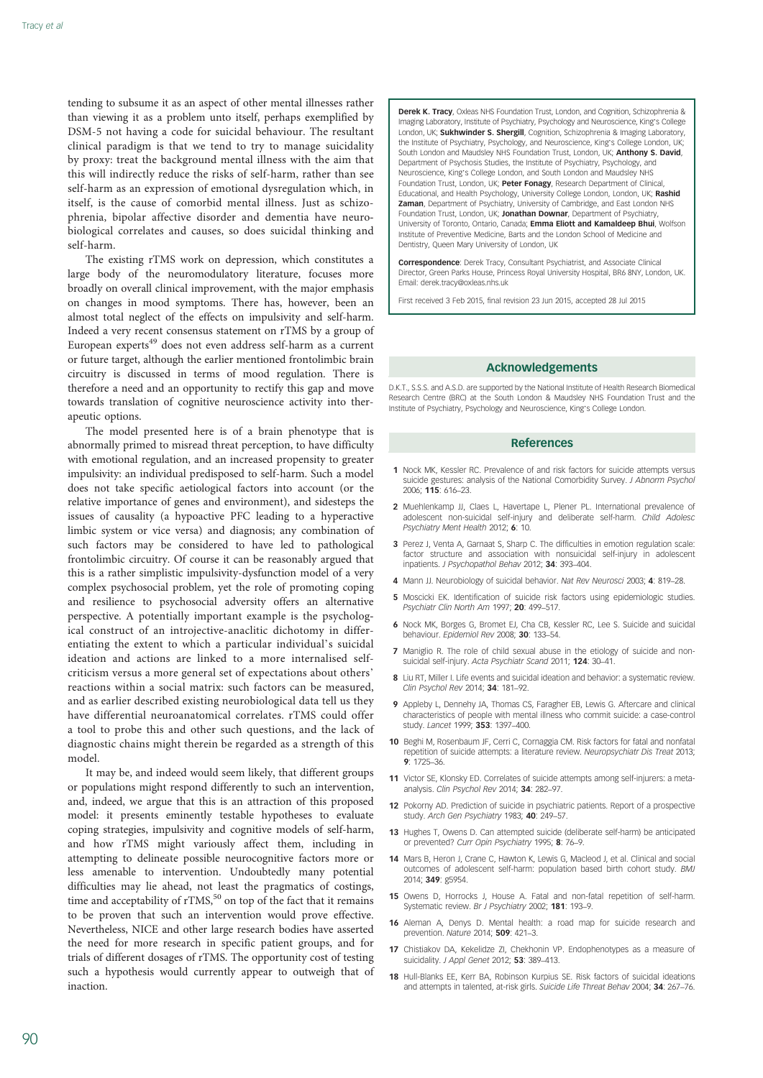<span id="page-3-0"></span>tending to subsume it as an aspect of other mental illnesses rather than viewing it as a problem unto itself, perhaps exemplified by DSM-5 not having a code for suicidal behaviour. The resultant clinical paradigm is that we tend to try to manage suicidality by proxy: treat the background mental illness with the aim that this will indirectly reduce the risks of self-harm, rather than see self-harm as an expression of emotional dysregulation which, in itself, is the cause of comorbid mental illness. Just as schizophrenia, bipolar affective disorder and dementia have neurobiological correlates and causes, so does suicidal thinking and self-harm.

The existing rTMS work on depression, which constitutes a large body of the neuromodulatory literature, focuses more broadly on overall clinical improvement, with the major emphasis on changes in mood symptoms. There has, however, been an almost total neglect of the effects on impulsivity and self-harm. Indeed a very recent consensus statement on rTMS by a group of European experts<sup>[49](#page-4-0)</sup> does not even address self-harm as a current or future target, although the earlier mentioned frontolimbic brain circuitry is discussed in terms of mood regulation. There is therefore a need and an opportunity to rectify this gap and move towards translation of cognitive neuroscience activity into therapeutic options.

The model presented here is of a brain phenotype that is abnormally primed to misread threat perception, to have difficulty with emotional regulation, and an increased propensity to greater impulsivity: an individual predisposed to self-harm. Such a model does not take specific aetiological factors into account (or the relative importance of genes and environment), and sidesteps the issues of causality (a hypoactive PFC leading to a hyperactive limbic system or vice versa) and diagnosis; any combination of such factors may be considered to have led to pathological frontolimbic circuitry. Of course it can be reasonably argued that this is a rather simplistic impulsivity-dysfunction model of a very complex psychosocial problem, yet the role of promoting coping and resilience to psychosocial adversity offers an alternative perspective. A potentially important example is the psychological construct of an introjective-anaclitic dichotomy in differentiating the extent to which a particular individual's suicidal ideation and actions are linked to a more internalised selfcriticism versus a more general set of expectations about others' reactions within a social matrix: such factors can be measured, and as earlier described existing neurobiological data tell us they have differential neuroanatomical correlates. rTMS could offer a tool to probe this and other such questions, and the lack of diagnostic chains might therein be regarded as a strength of this model.

It may be, and indeed would seem likely, that different groups or populations might respond differently to such an intervention, and, indeed, we argue that this is an attraction of this proposed model: it presents eminently testable hypotheses to evaluate coping strategies, impulsivity and cognitive models of self-harm, and how rTMS might variously affect them, including in attempting to delineate possible neurocognitive factors more or less amenable to intervention. Undoubtedly many potential difficulties may lie ahead, not least the pragmatics of costings, time and acceptability of  $rTMS$ <sup>[50](#page-4-0)</sup> on top of the fact that it remains to be proven that such an intervention would prove effective. Nevertheless, NICE and other large research bodies have asserted the need for more research in specific patient groups, and for trials of different dosages of rTMS. The opportunity cost of testing such a hypothesis would currently appear to outweigh that of inaction.

**Derek K. Tracy**, Oxleas NHS Foundation Trust, London, and Cognition, Schizophrenia & Imaging Laboratory, Institute of Psychiatry, Psychology and Neuroscience, King's College London, UK; Sukhwinder S. Shergill, Cognition, Schizophrenia & Imaging Laboratory, the Institute of Psychiatry, Psychology, and Neuroscience, King's College London, UK; South London and Maudsley NHS Foundation Trust, London, UK: Anthony S. David, Department of Psychosis Studies, the Institute of Psychiatry, Psychology, and Neuroscience, King's College London, and South London and Maudsley NHS Foundation Trust, London, UK; Peter Fonagy, Research Department of Clinical Educational, and Health Psychology, University College London, London, UK; Rashid Zaman, Department of Psychiatry, University of Cambridge, and East London NHS Foundation Trust, London, UK; Jonathan Downar, Department of Psychiatry, University of Toronto, Ontario, Canada; Emma Eliott and Kamaldeep Bhui. Wolfson Institute of Preventive Medicine, Barts and the London School of Medicine and Dentistry, Queen Mary University of London, UK

Correspondence: Derek Tracy, Consultant Psychiatrist, and Associate Clinical Director, Green Parks House, Princess Royal University Hospital, BR6 8NY, London, UK. Email: [derek.tracy@oxleas.nhs.uk](mailto:derek.tracy@oxleas.nhs.uk)

First received 3 Feb 2015, final revision 23 Jun 2015, accepted 28 Jul 2015

#### Acknowledgements

D.K.T., S.S.S. and A.S.D. are supported by the National Institute of Health Research Biomedical Research Centre (BRC) at the South London & Maudsley NHS Foundation Trust and the Institute of Psychiatry, Psychology and Neuroscience, King's College London.

#### References

- 1 Nock MK, Kessler RC. Prevalence of and risk factors for suicide attempts versus suicide gestures: analysis of the National Comorbidity Survey. J Abnorm Psychol 2006; 115: 616–23.
- 2 Muehlenkamp JJ, Claes L, Havertape L, Plener PL. International prevalence of adolescent non-suicidal self-injury and deliberate self-harm. Child Adolesc Psychiatry Ment Health 2012; 6: 10.
- 3 Perez J, Venta A, Garnaat S, Sharp C. The difficulties in emotion regulation scale: factor structure and association with nonsuicidal self-injury in adolescent inpatients. J Psychopathol Behav 2012; 34: 393–404.
- 4 Mann JJ. Neurobiology of suicidal behavior. Nat Rev Neurosci 2003; 4: 819-28.
- 5 Moscicki EK. Identification of suicide risk factors using epidemiologic studies. Psychiatr Clin North Am 1997; 20: 499-517.
- 6 Nock MK, Borges G, Bromet EJ, Cha CB, Kessler RC, Lee S. Suicide and suicidal behaviour. Epidemiol Rev 2008; 30: 133–54.
- 7 Maniglio R. The role of child sexual abuse in the etiology of suicide and nonsuicidal self-injury. Acta Psychiatr Scand 2011; 124: 30-41.
- 8 Liu RT, Miller I. Life events and suicidal ideation and behavior: a systematic review. Clin Psychol Rev 2014; 34: 181–92.
- 9 Appleby L, Dennehy JA, Thomas CS, Faragher EB, Lewis G. Aftercare and clinical characteristics of people with mental illness who commit suicide: a case-control study. Lancet 1999; 353: 1397–400.
- 10 Beghi M, Rosenbaum JF, Cerri C, Cornaggia CM. Risk factors for fatal and nonfatal repetition of suicide attempts: a literature review. Neuropsychiatr Dis Treat 2013; 9: 1725–36.
- 11 Victor SE, Klonsky ED, Correlates of suicide attempts among self-injurers: a metaanalysis. Clin Psychol Rev 2014; 34: 282–97.
- 12 Pokorny AD. Prediction of suicide in psychiatric patients. Report of a prospective study. Arch Gen Psychiatry 1983; 40: 249–57.
- 13 Hughes T, Owens D, Can attempted suicide (deliberate self-harm) be anticipated or prevented? Curr Opin Psychiatry 1995; 8: 76-9.
- 14 Mars B, Heron J, Crane C, Hawton K, Lewis G, Macleod J, et al. Clinical and social outcomes of adolescent self-harm: population based birth cohort study. BMJ 2014; 349: g5954.
- 15 Owens D. Horrocks J. House A. Fatal and non-fatal repetition of self-harm. Systematic review. Br J Psychiatry 2002: **181**: 193-9.
- 16 Aleman A, Denys D. Mental health: a road map for suicide research and prevention. Nature 2014; 509: 421–3.
- 17 Chistiakov DA. Kekelidze ZI, Chekhonin VP. Endophenotypes as a measure of suicidality. *J Appl Genet* 2012; **53**: 389-413.
- 18 Hull-Blanks EE, Kerr BA, Robinson Kurpius SE, Risk factors of suicidal ideations and attempts in talented, at-risk girls. Suicide Life Threat Behav 2004; 34: 267–76.